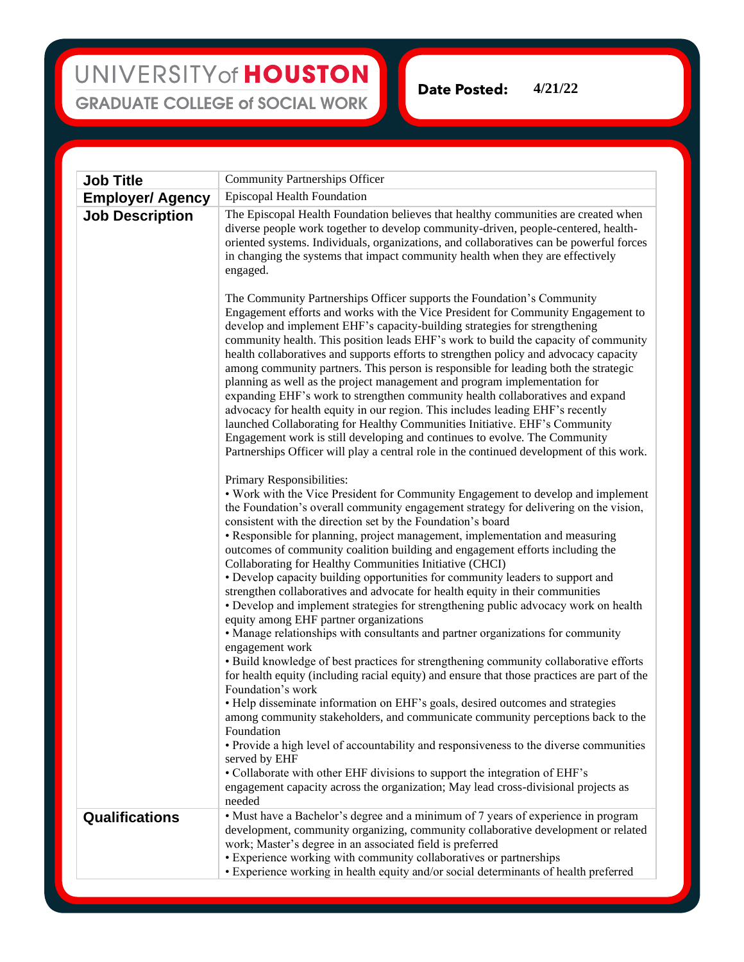## UNIVERSITY of HOUSTON **GRADUATE COLLEGE of SOCIAL WORK**

**4/21/22Date Posted:** 

| <b>Job Title</b>        | <b>Community Partnerships Officer</b>                                                                                                                                                                                                                                                                                                                                                                                                                                                                                                                                                                                                                                                                                                                                                                                                                                                                                                                                                                                   |
|-------------------------|-------------------------------------------------------------------------------------------------------------------------------------------------------------------------------------------------------------------------------------------------------------------------------------------------------------------------------------------------------------------------------------------------------------------------------------------------------------------------------------------------------------------------------------------------------------------------------------------------------------------------------------------------------------------------------------------------------------------------------------------------------------------------------------------------------------------------------------------------------------------------------------------------------------------------------------------------------------------------------------------------------------------------|
| <b>Employer/ Agency</b> | <b>Episcopal Health Foundation</b>                                                                                                                                                                                                                                                                                                                                                                                                                                                                                                                                                                                                                                                                                                                                                                                                                                                                                                                                                                                      |
| <b>Job Description</b>  | The Episcopal Health Foundation believes that healthy communities are created when<br>diverse people work together to develop community-driven, people-centered, health-<br>oriented systems. Individuals, organizations, and collaboratives can be powerful forces<br>in changing the systems that impact community health when they are effectively<br>engaged.                                                                                                                                                                                                                                                                                                                                                                                                                                                                                                                                                                                                                                                       |
|                         | The Community Partnerships Officer supports the Foundation's Community<br>Engagement efforts and works with the Vice President for Community Engagement to<br>develop and implement EHF's capacity-building strategies for strengthening<br>community health. This position leads EHF's work to build the capacity of community<br>health collaboratives and supports efforts to strengthen policy and advocacy capacity<br>among community partners. This person is responsible for leading both the strategic<br>planning as well as the project management and program implementation for<br>expanding EHF's work to strengthen community health collaboratives and expand<br>advocacy for health equity in our region. This includes leading EHF's recently<br>launched Collaborating for Healthy Communities Initiative. EHF's Community<br>Engagement work is still developing and continues to evolve. The Community<br>Partnerships Officer will play a central role in the continued development of this work. |
|                         | Primary Responsibilities:<br>• Work with the Vice President for Community Engagement to develop and implement<br>the Foundation's overall community engagement strategy for delivering on the vision,<br>consistent with the direction set by the Foundation's board<br>• Responsible for planning, project management, implementation and measuring<br>outcomes of community coalition building and engagement efforts including the<br>Collaborating for Healthy Communities Initiative (CHCI)<br>• Develop capacity building opportunities for community leaders to support and<br>strengthen collaboratives and advocate for health equity in their communities                                                                                                                                                                                                                                                                                                                                                     |
|                         | • Develop and implement strategies for strengthening public advocacy work on health<br>equity among EHF partner organizations<br>• Manage relationships with consultants and partner organizations for community<br>engagement work                                                                                                                                                                                                                                                                                                                                                                                                                                                                                                                                                                                                                                                                                                                                                                                     |
|                         | • Build knowledge of best practices for strengthening community collaborative efforts<br>for health equity (including racial equity) and ensure that those practices are part of the<br>Foundation's work                                                                                                                                                                                                                                                                                                                                                                                                                                                                                                                                                                                                                                                                                                                                                                                                               |
|                         | • Help disseminate information on EHF's goals, desired outcomes and strategies<br>among community stakeholders, and communicate community perceptions back to the<br>Foundation<br>• Provide a high level of accountability and responsiveness to the diverse communities                                                                                                                                                                                                                                                                                                                                                                                                                                                                                                                                                                                                                                                                                                                                               |
|                         | served by EHF<br>• Collaborate with other EHF divisions to support the integration of EHF's<br>engagement capacity across the organization; May lead cross-divisional projects as<br>needed                                                                                                                                                                                                                                                                                                                                                                                                                                                                                                                                                                                                                                                                                                                                                                                                                             |
| <b>Qualifications</b>   | • Must have a Bachelor's degree and a minimum of 7 years of experience in program<br>development, community organizing, community collaborative development or related<br>work; Master's degree in an associated field is preferred<br>• Experience working with community collaboratives or partnerships<br>• Experience working in health equity and/or social determinants of health preferred                                                                                                                                                                                                                                                                                                                                                                                                                                                                                                                                                                                                                       |